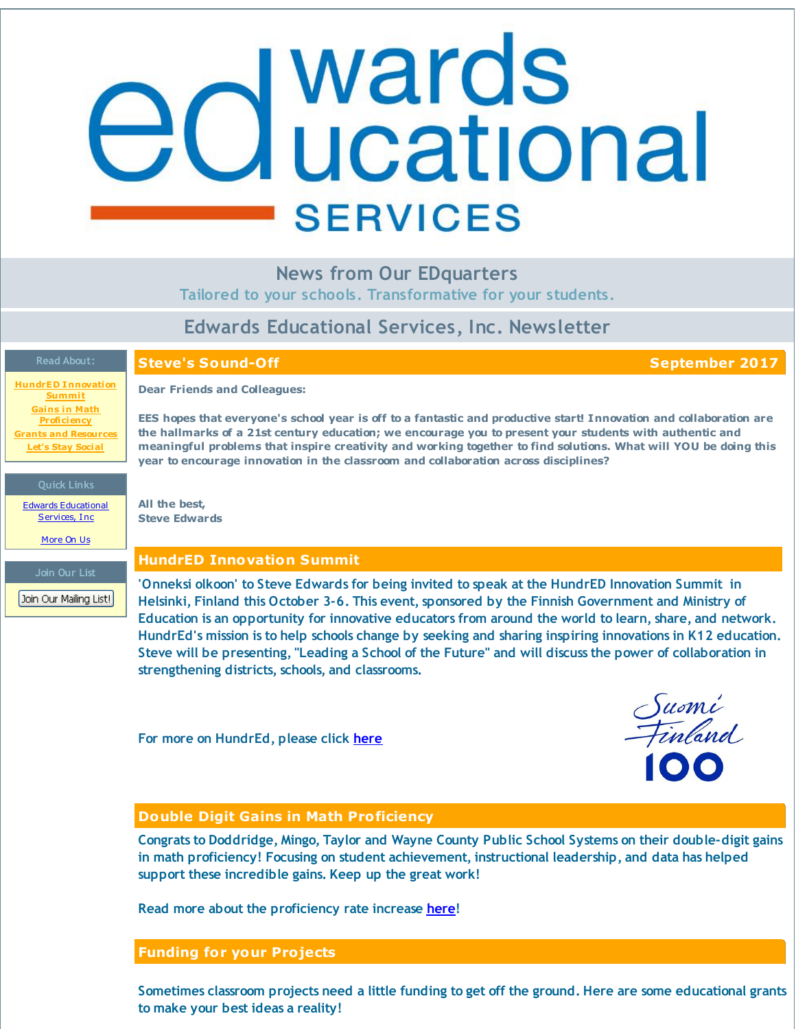# <span id="page-0-0"></span>**d** wards<br>**d** ucational **SERVICES**

**News from Our EDquarters**

**Tailored to your schools. Transformative for your students.**

# **Edwards Educational Services, Inc. Newsletter**

# **Read About:**

**Steve's Sound-Off September 2017**

**HundrED [Innovation](#page-0-0) Summit Gains in Math [Proficiency](#page-0-0) Grants and [Resources](#page-0-0) Let's Stay [Social](#page-0-0)**

**Dear Friends and Colleagues:**

EES hopes that everyone's school year is off to a fantastic and productive start! Innovation and collaboration are **the hallmarks of a 21st century education; we encourage you to present your students with authentic and** meaningful problems that inspire creativity and working together to find solutions. What will YOU be doing this **year to encourage innovation in the classroom and collaboration across disciplines?**

**Quick Links**

Edwards [Educational](http://r20.rs6.net/tn.jsp?f=001hdX9aEskLYHshrA-FnHMkzKipNNs-TodUvgIPW9_jFHsK6TGdYfKxgIpZ4G21LZp99Akq8QmzVdjFs5Ryegw9sk4CiYGLU1LxGF-PUJQbpChYRiOnJXn8jn_aEcK-ZGAOTF-xEBnpiIuwwTpUe15_XFzZvP1CYHXDsdsGQuW72fZeqU9EVkO7Q==&c=&ch=) Services, Inc. [More](http://r20.rs6.net/tn.jsp?f=001hdX9aEskLYHshrA-FnHMkzKipNNs-TodUvgIPW9_jFHsK6TGdYfKxgW3HV6RLuDv2FTrtcmxdwl_MFI5Ul1kJQgNlq3Ff7_5TZuwPbCUfDFGD5c5GuitD6n55w5Jrj1IvpuaNsQiERJH0diHzKrGTIbffQ0EZZI2pNG-g6_Q8wZIcoD2duodbZSgpXCWjNd4&c=&ch=) On Us

**Join Our List**

Join Our Mailing List!

**All the best, Steve Edwards**

# **HundrED Innovation Summit**

**'Onneksi olkoon' to Steve Edwards for being invited to speak at the HundrED Innovation Summit in Helsinki, Finland this October 3-6. This event, sponsored by the Finnish Government and Ministry of Education is an opportunity for innovative educators from around the world to learn, share, and network. HundrEd's mission is to help schools change by seeking and sharing inspiring innovations in K12 education.** Steve will be presenting, "Leading a School of the Future" and will discuss the power of collaboration in **strengthening districts, schools, and classrooms.**

**For more on HundrEd, please click [here](http://r20.rs6.net/tn.jsp?f=001hdX9aEskLYHshrA-FnHMkzKipNNs-TodUvgIPW9_jFHsK6TGdYfKxjRFxBPST0ZEWt_uwFCqMu3GZP743JUV6BwSZqi-5u6uUxyama8usWB6nt7ai18Mi5xs1lHab2KKzetlUHb4dpzHI8aCQWUig98eGH5ucDLYyPkOtUHTLaA=&c=&ch=)**

Suomi<br>Finland

# **Double Digit Gains in Math Proficiency**

**Congrats to Doddridge, Mingo, Taylor and Wayne County Public School Systems on their double-digit gains in math proficiency! Focusing on student achievement, instructional leadership, and data has helped support these incredible gains. Keep up the great work!**

**Read more about the proficiency rate increase [here](http://r20.rs6.net/tn.jsp?f=001hdX9aEskLYHshrA-FnHMkzKipNNs-TodUvgIPW9_jFHsK6TGdYfKxjRFxBPST0ZEt658nrSJYwvxW7lM7A6ilrO-hOnT6-uIX1LoDzx3E4BqKMjrTF8NryK344Qm00SuiRvJYutP2nIydpFVxqTK_tAvqwvuEn2GAcaEXLzs8XJEqSVyTc9kw5tVRtc0hX34wMnlQ8lvtq8dLwxKvHkJ7_CVlVTG1-qcilWlQFAvu08Z9zML41MDE7KTekb1Ag8vPIo2fzG525fvKspaI1nehBoBhjxD2YJGaHnpxH9GvJvQfcyj-QB8JQ==&c=&ch=)!**

# **Funding for your Projects**

Sometimes classroom projects need a little funding to get off the ground. Here are some educational grants **to make your best ideas a reality!**